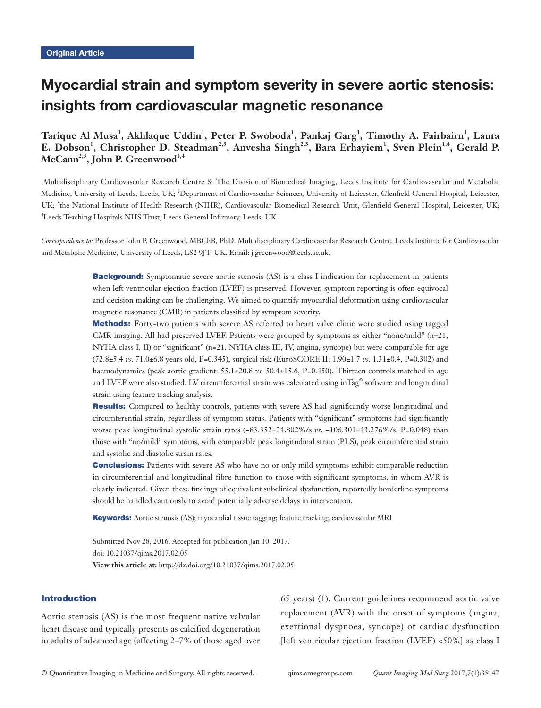# Myocardial strain and symptom severity in severe aortic stenosis: insights from cardiovascular magnetic resonance

**Tarique Al Musa<sup>1</sup> , Akhlaque Uddin<sup>1</sup> , Peter P. Swoboda<sup>1</sup> , Pankaj Garg<sup>1</sup> , Timothy A. Fairbairn<sup>1</sup> , Laura E. Dobson<sup>1</sup>, Christopher D. Steadman<sup>2,3</sup>, Anvesha Singh<sup>2,3</sup>, Bara Erhayiem<sup>1</sup>, Sven Plein<sup>1,4</sup>, Gerald P.** McCann<sup>2,3</sup>, John P. Greenwood<sup>1,4</sup>

1 Multidisciplinary Cardiovascular Research Centre & The Division of Biomedical Imaging, Leeds Institute for Cardiovascular and Metabolic Medicine, University of Leeds, Leeds, UK; <sup>2</sup>Department of Cardiovascular Sciences, University of Leicester, Glenfield General Hospital, Leicester, UK; <sup>3</sup>the National Institute of Health Research (NIHR), Cardiovascular Biomedical Research Unit, Glenfield General Hospital, Leicester, UK; 4 Leeds Teaching Hospitals NHS Trust, Leeds General Infirmary, Leeds, UK

*Correspondence to:* Professor John P. Greenwood, MBChB, PhD. Multidisciplinary Cardiovascular Research Centre, Leeds Institute for Cardiovascular and Metabolic Medicine, University of Leeds, LS2 9JT, UK. Email: j.greenwood@leeds.ac.uk.

> **Background:** Symptomatic severe aortic stenosis (AS) is a class I indication for replacement in patients when left ventricular ejection fraction (LVEF) is preserved. However, symptom reporting is often equivocal and decision making can be challenging. We aimed to quantify myocardial deformation using cardiovascular magnetic resonance (CMR) in patients classified by symptom severity.

> Methods: Forty-two patients with severe AS referred to heart valve clinic were studied using tagged CMR imaging. All had preserved LVEF. Patients were grouped by symptoms as either "none/mild" (n=21, NYHA class I, II) or "significant" (n=21, NYHA class III, IV, angina, syncope) but were comparable for age (72.8±5.4 *vs*. 71.0±6.8 years old, P=0.345), surgical risk (EuroSCORE II: 1.90±1.7 *vs*. 1.31±0.4, P=0.302) and haemodynamics (peak aortic gradient: 55.1±20.8 *vs*. 50.4±15.6, P=0.450). Thirteen controls matched in age and LVEF were also studied. LV circumferential strain was calculated using inTag<sup>®</sup> software and longitudinal strain using feature tracking analysis.

> Results: Compared to healthy controls, patients with severe AS had significantly worse longitudinal and circumferential strain, regardless of symptom status. Patients with "significant" symptoms had significantly worse peak longitudinal systolic strain rates (−83.352±24.802%/s *vs*. −106.301±43.276%/s, P=0.048) than those with "no/mild" symptoms, with comparable peak longitudinal strain (PLS), peak circumferential strain and systolic and diastolic strain rates.

> **Conclusions:** Patients with severe AS who have no or only mild symptoms exhibit comparable reduction in circumferential and longitudinal fibre function to those with significant symptoms, in whom AVR is clearly indicated. Given these findings of equivalent subclinical dysfunction, reportedly borderline symptoms should be handled cautiously to avoid potentially adverse delays in intervention.

Keywords: Aortic stenosis (AS); myocardial tissue tagging; feature tracking; cardiovascular MRI

Submitted Nov 28, 2016. Accepted for publication Jan 10, 2017. doi: 10.21037/qims.2017.02.05 **View this article at:** http://dx.doi.org/10.21037/qims.2017.02.05

## Introduction

Aortic stenosis (AS) is the most frequent native valvular heart disease and typically presents as calcified degeneration in adults of advanced age (affecting 2–7% of those aged over 65 years) (1). Current guidelines recommend aortic valve replacement (AVR) with the onset of symptoms (angina, exertional dyspnoea, syncope) or cardiac dysfunction [left ventricular ejection fraction (LVEF) <50%] as class I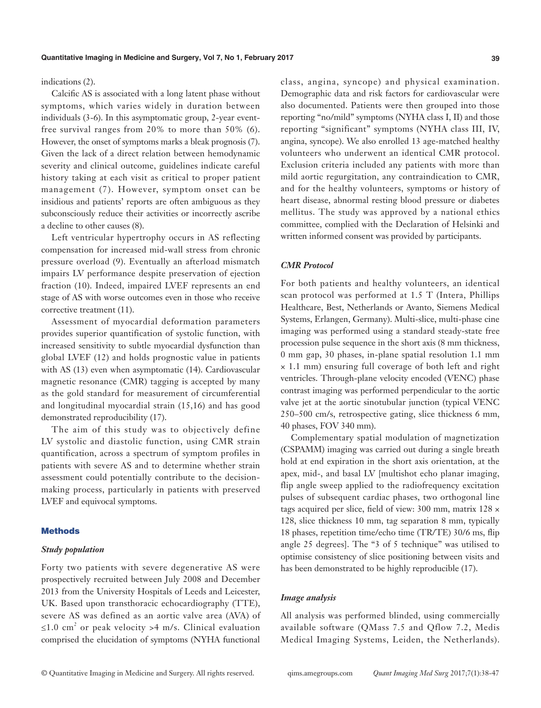indications (2).

Calcific AS is associated with a long latent phase without symptoms, which varies widely in duration between individuals (3-6). In this asymptomatic group, 2-year eventfree survival ranges from 20% to more than 50% (6). However, the onset of symptoms marks a bleak prognosis (7). Given the lack of a direct relation between hemodynamic severity and clinical outcome, guidelines indicate careful history taking at each visit as critical to proper patient management (7). However, symptom onset can be insidious and patients' reports are often ambiguous as they subconsciously reduce their activities or incorrectly ascribe a decline to other causes (8).

Left ventricular hypertrophy occurs in AS reflecting compensation for increased mid-wall stress from chronic pressure overload (9). Eventually an afterload mismatch impairs LV performance despite preservation of ejection fraction (10). Indeed, impaired LVEF represents an end stage of AS with worse outcomes even in those who receive corrective treatment (11).

Assessment of myocardial deformation parameters provides superior quantification of systolic function, with increased sensitivity to subtle myocardial dysfunction than global LVEF (12) and holds prognostic value in patients with AS (13) even when asymptomatic (14). Cardiovascular magnetic resonance (CMR) tagging is accepted by many as the gold standard for measurement of circumferential and longitudinal myocardial strain (15,16) and has good demonstrated reproducibility (17).

The aim of this study was to objectively define LV systolic and diastolic function, using CMR strain quantification, across a spectrum of symptom profiles in patients with severe AS and to determine whether strain assessment could potentially contribute to the decisionmaking process, particularly in patients with preserved LVEF and equivocal symptoms.

## Methods

#### *Study population*

Forty two patients with severe degenerative AS were prospectively recruited between July 2008 and December 2013 from the University Hospitals of Leeds and Leicester, UK. Based upon transthoracic echocardiography (TTE), severe AS was defined as an aortic valve area (AVA) of ≤1.0 cm<sup>2</sup> or peak velocity >4 m/s. Clinical evaluation comprised the elucidation of symptoms (NYHA functional

class, angina, syncope) and physical examination. Demographic data and risk factors for cardiovascular were also documented. Patients were then grouped into those reporting "no/mild" symptoms (NYHA class I, II) and those reporting "significant" symptoms (NYHA class III, IV, angina, syncope). We also enrolled 13 age-matched healthy volunteers who underwent an identical CMR protocol. Exclusion criteria included any patients with more than mild aortic regurgitation, any contraindication to CMR, and for the healthy volunteers, symptoms or history of heart disease, abnormal resting blood pressure or diabetes mellitus. The study was approved by a national ethics committee, complied with the Declaration of Helsinki and written informed consent was provided by participants.

# *CMR Protocol*

For both patients and healthy volunteers, an identical scan protocol was performed at 1.5 T (Intera, Phillips Healthcare, Best, Netherlands or Avanto, Siemens Medical Systems, Erlangen, Germany). Multi-slice, multi-phase cine imaging was performed using a standard steady-state free procession pulse sequence in the short axis (8 mm thickness, 0 mm gap, 30 phases, in-plane spatial resolution 1.1 mm × 1.1 mm) ensuring full coverage of both left and right ventricles. Through-plane velocity encoded (VENC) phase contrast imaging was performed perpendicular to the aortic valve jet at the aortic sinotubular junction (typical VENC 250–500 cm/s, retrospective gating, slice thickness 6 mm, 40 phases, FOV 340 mm).

Complementary spatial modulation of magnetization (CSPAMM) imaging was carried out during a single breath hold at end expiration in the short axis orientation, at the apex, mid-, and basal LV [multishot echo planar imaging, flip angle sweep applied to the radiofrequency excitation pulses of subsequent cardiac phases, two orthogonal line tags acquired per slice, field of view: 300 mm, matrix 128 × 128, slice thickness 10 mm, tag separation 8 mm, typically 18 phases, repetition time/echo time (TR/TE) 30/6 ms, flip angle 25 degrees]. The "3 of 5 technique" was utilised to optimise consistency of slice positioning between visits and has been demonstrated to be highly reproducible (17).

# *Image analysis*

All analysis was performed blinded, using commercially available software (QMass 7.5 and Qflow 7.2, Medis Medical Imaging Systems, Leiden, the Netherlands).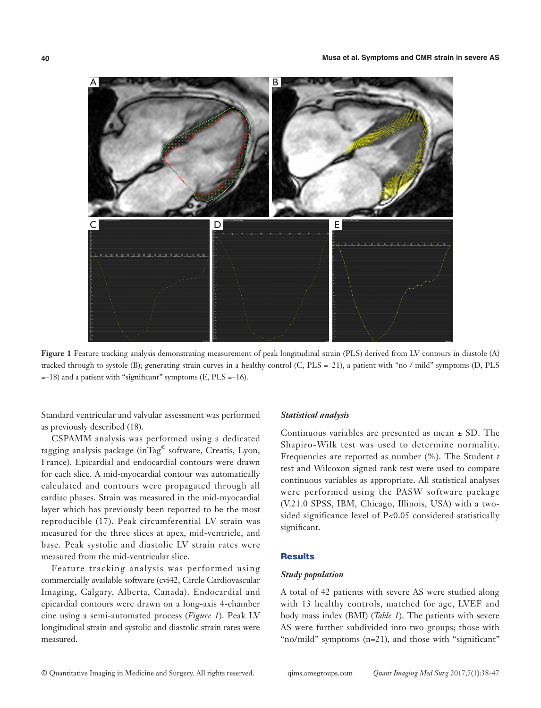

**Figure 1** Feature tracking analysis demonstrating measurement of peak longitudinal strain (PLS) derived from LV contours in diastole (A) tracked through to systole (B); generating strain curves in a healthy control (C, PLS =−21), a patient with "no / mild" symptoms (D, PLS =−18) and a patient with "significant" symptoms (E, PLS =−16).

Standard ventricular and valvular assessment was performed as previously described (18).

CSPAMM analysis was performed using a dedicated tagging analysis package (in $Tag^{\circ}$  software, Creatis, Lyon, France). Epicardial and endocardial contours were drawn for each slice. A mid-myocardial contour was automatically calculated and contours were propagated through all cardiac phases. Strain was measured in the mid-myocardial layer which has previously been reported to be the most reproducible (17). Peak circumferential LV strain was measured for the three slices at apex, mid-ventricle, and base. Peak systolic and diastolic LV strain rates were measured from the mid-ventricular slice.

Feature tracking analysis was performed using commercially available software (cvi42, Circle Cardiovascular Imaging, Calgary, Alberta, Canada). Endocardial and epicardial contours were drawn on a long-axis 4-chamber cine using a semi-automated process (*Figure 1*). Peak LV longitudinal strain and systolic and diastolic strain rates were measured.

# *Statistical analysis*

Continuous variables are presented as mean ± SD. The Shapiro-Wilk test was used to determine normality. Frequencies are reported as number (%). The Student *t*  test and Wilcoxon signed rank test were used to compare continuous variables as appropriate. All statistical analyses were performed using the PASW software package (V.21.0 SPSS, IBM, Chicago, Illinois, USA) with a twosided significance level of P<0.05 considered statistically significant.

## **Results**

## *Study population*

A total of 42 patients with severe AS were studied along with 13 healthy controls, matched for age, LVEF and body mass index (BMI) (*Table 1*). The patients with severe AS were further subdivided into two groups; those with "no/mild" symptoms (n=21), and those with "significant"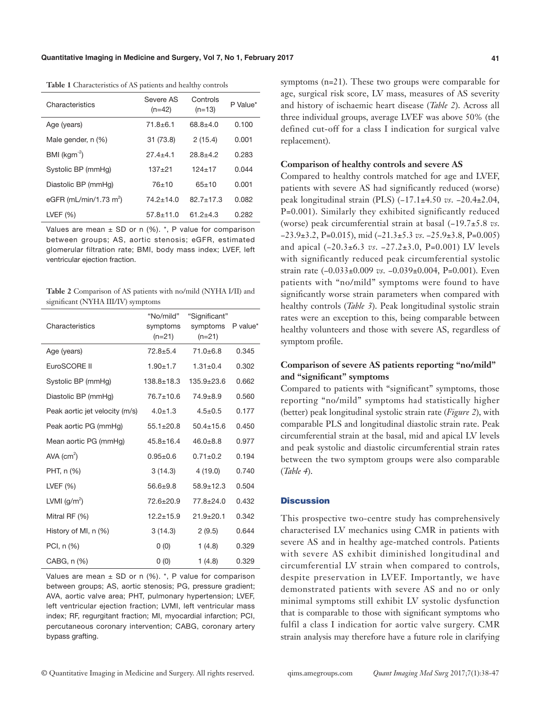**Table 1** Characteristics of AS patients and healthy controls

| Characteristics                    | Severe AS<br>$(n=42)$ | Controls<br>$(n=13)$ | P Value* |
|------------------------------------|-----------------------|----------------------|----------|
| Age (years)                        | $71.8 + 6.1$          | $68.8 + 4.0$         | 0.100    |
| Male gender, n (%)                 | 31 (73.8)             | 2(15.4)              | 0.001    |
| $BMI$ (kgm <sup>-2</sup> )         | $27.4 + 4.1$          | $28.8 + 4.2$         | 0.283    |
| Systolic BP (mmHg)                 | $137 + 21$            | $124 + 17$           | 0.044    |
| Diastolic BP (mmHg)                | $76 + 10$             | $65+10$              | 0.001    |
| eGFR (mL/min/1.73 m <sup>2</sup> ) | $74.2 + 14.0$         | $82.7 + 17.3$        | 0.082    |
| LVEF $(%)$                         | $57.8 \pm 11.0$       | $61.2 + 4.3$         | 0.282    |

Values are mean  $\pm$  SD or n (%). \*, P value for comparison between groups; AS, aortic stenosis; eGFR, estimated glomerular filtration rate; BMI, body mass index; LVEF, left ventricular ejection fraction.

**Table 2** Comparison of AS patients with no/mild (NYHA I/II) and significant (NYHA III/IV) symptoms

| Characteristics                | "No/mild"<br>symptoms<br>$(n=21)$ | "Significant"<br>symptoms<br>$(n=21)$ | P value* |
|--------------------------------|-----------------------------------|---------------------------------------|----------|
| Age (years)                    | $72.8 + 5.4$                      | $71.0 + 6.8$                          | 0.345    |
| EuroSCORE II                   | $1.90 + 1.7$                      | $1.31 \pm 0.4$                        | 0.302    |
| Systolic BP (mmHg)             | $138.8 \pm 18.3$                  | $135.9 + 23.6$                        | 0.662    |
| Diastolic BP (mmHg)            | 76.7±10.6                         | $74.9 + 8.9$                          | 0.560    |
| Peak aortic jet velocity (m/s) | $4.0 \pm 1.3$                     | $4.5 \pm 0.5$                         | 0.177    |
| Peak aortic PG (mmHq)          | $55.1 \pm 20.8$                   | $50.4 \pm 15.6$                       | 0.450    |
| Mean aortic PG (mmHg)          | $45.8 \pm 16.4$                   | $46.0 + 8.8$                          | 0.977    |
| $AVA$ ( $cm2$ )                | $0.95 + 0.6$                      | $0.71 \pm 0.2$                        | 0.194    |
| PHT, n (%)                     | 3(14.3)                           | 4(19.0)                               | 0.740    |
| LVEF $(% )$                    | $56.6 + 9.8$                      | $58.9 \pm 12.3$                       | 0.504    |
| LVMI $(g/m^2)$                 | $72.6 \pm 20.9$                   | $77.8 + 24.0$                         | 0.432    |
| Mitral RF (%)                  | $12.2 + 15.9$                     | $21.9 + 20.1$                         | 0.342    |
| History of MI, n (%)           | 3(14.3)                           | 2(9.5)                                | 0.644    |
| PCI, n (%)                     | 0(0)                              | 1(4.8)                                | 0.329    |
| CABG, n (%)                    | 0(0)                              | 1(4.8)                                | 0.329    |

Values are mean  $\pm$  SD or n (%). \*, P value for comparison between groups; AS, aortic stenosis; PG, pressure gradient; AVA, aortic valve area; PHT, pulmonary hypertension; LVEF, left ventricular ejection fraction; LVMI, left ventricular mass index; RF, regurgitant fraction; MI, myocardial infarction; PCI, percutaneous coronary intervention; CABG, coronary artery bypass grafting.

symptoms (n=21). These two groups were comparable for age, surgical risk score, LV mass, measures of AS severity and history of ischaemic heart disease (*Table 2*). Across all three individual groups, average LVEF was above 50% (the defined cut-off for a class I indication for surgical valve replacement).

# **Comparison of healthy controls and severe AS**

Compared to healthy controls matched for age and LVEF, patients with severe AS had significantly reduced (worse) peak longitudinal strain (PLS) (−17.1±4.50 *vs*. −20.4±2.04, P=0.001). Similarly they exhibited significantly reduced (worse) peak circumferential strain at basal (−19.7±5.8 *vs*. −23.9±3.2, P=0.015), mid (−21.3±5.3 *vs*. −25.9±3.8, P=0.005) and apical (−20.3±6.3 *vs*. −27.2±3.0, P=0.001) LV levels with significantly reduced peak circumferential systolic strain rate (−0.033±0.009 *vs*. −0.039±0.004, P=0.001). Even patients with "no/mild" symptoms were found to have significantly worse strain parameters when compared with healthy controls (*Table 3*). Peak longitudinal systolic strain rates were an exception to this, being comparable between healthy volunteers and those with severe AS, regardless of symptom profile.

# **Comparison of severe AS patients reporting "no/mild" and "significant" symptoms**

Compared to patients with "significant" symptoms, those reporting "no/mild" symptoms had statistically higher (better) peak longitudinal systolic strain rate (*Figure 2*), with comparable PLS and longitudinal diastolic strain rate. Peak circumferential strain at the basal, mid and apical LV levels and peak systolic and diastolic circumferential strain rates between the two symptom groups were also comparable (*Table 4*).

# **Discussion**

This prospective two-centre study has comprehensively characterised LV mechanics using CMR in patients with severe AS and in healthy age-matched controls. Patients with severe AS exhibit diminished longitudinal and circumferential LV strain when compared to controls, despite preservation in LVEF. Importantly, we have demonstrated patients with severe AS and no or only minimal symptoms still exhibit LV systolic dysfunction that is comparable to those with significant symptoms who fulfil a class I indication for aortic valve surgery. CMR strain analysis may therefore have a future role in clarifying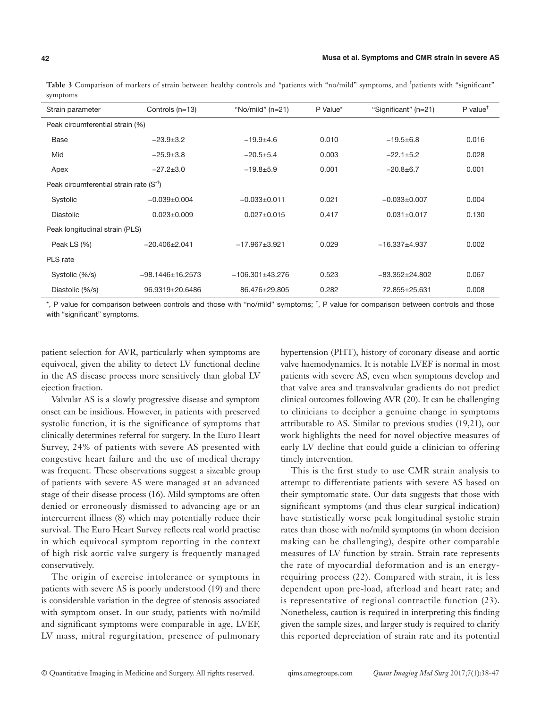### **42 Musa et al. Symptoms and CMR strain in severe AS**

| Strain parameter                         | Controls (n=13)        | "No/mild" $(n=21)$    | P Value* | "Significant" (n=21) | $P$ value <sup>T</sup> |
|------------------------------------------|------------------------|-----------------------|----------|----------------------|------------------------|
| Peak circumferential strain (%)          |                        |                       |          |                      |                        |
| <b>Base</b>                              | $-23.9+3.2$            | $-19.9+4.6$           | 0.010    | $-19.5+6.8$          | 0.016                  |
| Mid                                      | $-25.9+3.8$            | $-20.5+5.4$           | 0.003    | $-22.1+5.2$          | 0.028                  |
| Apex                                     | $-27.2+3.0$            | $-19.8 + 5.9$         | 0.001    | $-20.8+6.7$          | 0.001                  |
| Peak circumferential strain rate $(S-1)$ |                        |                       |          |                      |                        |
| Systolic                                 | $-0.039 + 0.004$       | $-0.033 + 0.011$      | 0.021    | $-0.033 \pm 0.007$   | 0.004                  |
| <b>Diastolic</b>                         | $0.023 \pm 0.009$      | $0.027 \pm 0.015$     | 0.417    | $0.031 \pm 0.017$    | 0.130                  |
| Peak longitudinal strain (PLS)           |                        |                       |          |                      |                        |
| Peak LS (%)                              | $-20.406 + 2.041$      | $-17.967 + 3.921$     | 0.029    | $-16.337 + 4.937$    | 0.002                  |
| PLS rate                                 |                        |                       |          |                      |                        |
| Systolic (%/s)                           | $-98.1446 \pm 16.2573$ | $-106.301 \pm 43.276$ | 0.523    | $-83.352 \pm 24.802$ | 0.067                  |
| Diastolic (%/s)                          | 96.9319±20.6486        | 86.476±29.805         | 0.282    | 72.855±25.631        | 0.008                  |

**Table 3** Comparison of markers of strain between healthy controls and \*patients with "no/mild" symptoms, and † patients with "significant" symptoms

\*, P value for comparison between controls and those with "no/mild" symptoms; <sup>†</sup>, P value for comparison between controls and those with "significant" symptoms.

patient selection for AVR, particularly when symptoms are equivocal, given the ability to detect LV functional decline in the AS disease process more sensitively than global LV ejection fraction.

Valvular AS is a slowly progressive disease and symptom onset can be insidious. However, in patients with preserved systolic function, it is the significance of symptoms that clinically determines referral for surgery. In the Euro Heart Survey, 24% of patients with severe AS presented with congestive heart failure and the use of medical therapy was frequent. These observations suggest a sizeable group of patients with severe AS were managed at an advanced stage of their disease process (16). Mild symptoms are often denied or erroneously dismissed to advancing age or an intercurrent illness (8) which may potentially reduce their survival. The Euro Heart Survey reflects real world practise in which equivocal symptom reporting in the context of high risk aortic valve surgery is frequently managed conservatively.

The origin of exercise intolerance or symptoms in patients with severe AS is poorly understood (19) and there is considerable variation in the degree of stenosis associated with symptom onset. In our study, patients with no/mild and significant symptoms were comparable in age, LVEF, LV mass, mitral regurgitation, presence of pulmonary

hypertension (PHT), history of coronary disease and aortic valve haemodynamics. It is notable LVEF is normal in most patients with severe AS, even when symptoms develop and that valve area and transvalvular gradients do not predict clinical outcomes following AVR (20). It can be challenging to clinicians to decipher a genuine change in symptoms attributable to AS. Similar to previous studies (19,21), our work highlights the need for novel objective measures of early LV decline that could guide a clinician to offering timely intervention.

This is the first study to use CMR strain analysis to attempt to differentiate patients with severe AS based on their symptomatic state. Our data suggests that those with significant symptoms (and thus clear surgical indication) have statistically worse peak longitudinal systolic strain rates than those with no/mild symptoms (in whom decision making can be challenging), despite other comparable measures of LV function by strain. Strain rate represents the rate of myocardial deformation and is an energyrequiring process (22). Compared with strain, it is less dependent upon pre-load, afterload and heart rate; and is representative of regional contractile function (23). Nonetheless, caution is required in interpreting this finding given the sample sizes, and larger study is required to clarify this reported depreciation of strain rate and its potential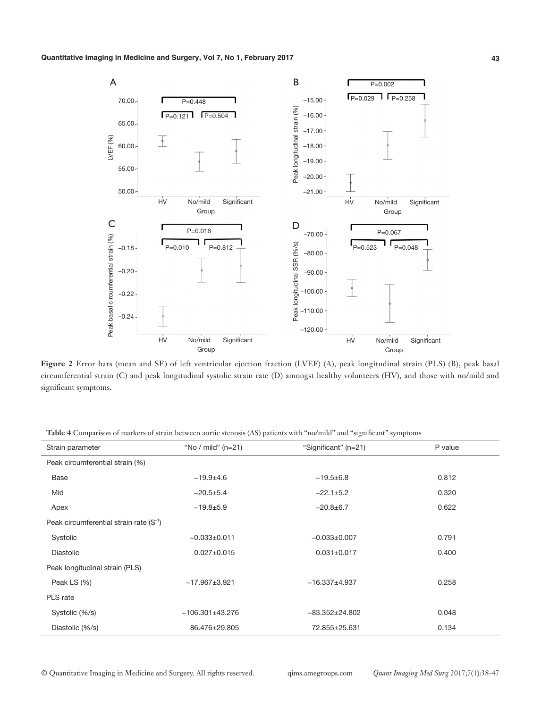

**Figure 2** Error bars (mean and SE) of left ventricular ejection fraction (LVEF) (A), peak longitudinal strain (PLS) (B), peak basal circumferential strain (C) and peak longitudinal systolic strain rate (D) amongst healthy volunteers (HV), and those with no/mild and significant symptoms.

| Strain parameter                         | "No / mild" ( $n=21$ ) | "Significant" (n=21) | P value |  |  |
|------------------------------------------|------------------------|----------------------|---------|--|--|
| Peak circumferential strain (%)          |                        |                      |         |  |  |
| Base                                     | $-19.9+4.6$            | $-19.5+6.8$          | 0.812   |  |  |
| Mid                                      | $-20.5+5.4$            | $-22.1 \pm 5.2$      | 0.320   |  |  |
| Apex                                     | $-19.8 + 5.9$          | $-20.8+6.7$          | 0.622   |  |  |
| Peak circumferential strain rate $(S-1)$ |                        |                      |         |  |  |
| Systolic                                 | $-0.033\pm0.011$       | $-0.033 + 0.007$     | 0.791   |  |  |
| <b>Diastolic</b>                         | $0.027 \pm 0.015$      | $0.031 \pm 0.017$    | 0.400   |  |  |
| Peak longitudinal strain (PLS)           |                        |                      |         |  |  |
| Peak LS (%)                              | $-17.967 + 3.921$      | $-16.337 + 4.937$    | 0.258   |  |  |
| PLS rate                                 |                        |                      |         |  |  |
| Systolic (%/s)                           | $-106.301 + 43.276$    | $-83.352 \pm 24.802$ | 0.048   |  |  |
| Diastolic (%/s)                          | 86.476±29.805          | 72.855±25.631        | 0.134   |  |  |

**Table 4** Comparison of markers of strain between aortic stenosis (AS) patients with "no/mild" and "significant" symptoms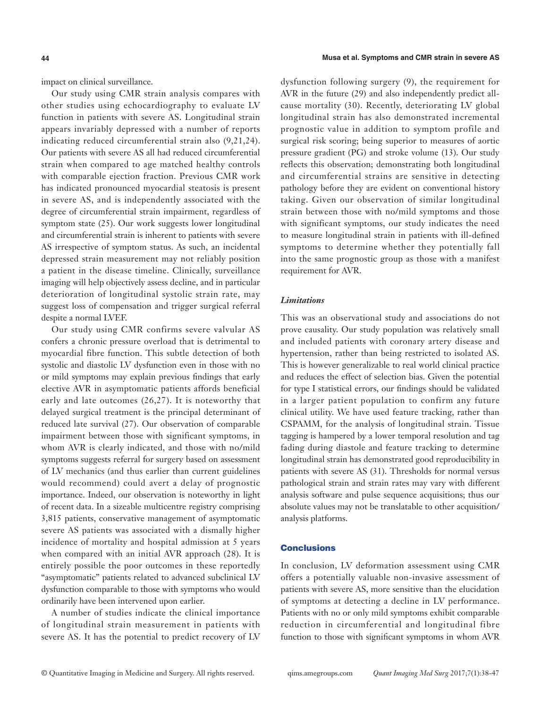impact on clinical surveillance.

Our study using CMR strain analysis compares with other studies using echocardiography to evaluate LV function in patients with severe AS. Longitudinal strain appears invariably depressed with a number of reports indicating reduced circumferential strain also (9,21,24). Our patients with severe AS all had reduced circumferential strain when compared to age matched healthy controls with comparable ejection fraction. Previous CMR work has indicated pronounced myocardial steatosis is present in severe AS, and is independently associated with the degree of circumferential strain impairment, regardless of symptom state (25). Our work suggests lower longitudinal and circumferential strain is inherent to patients with severe AS irrespective of symptom status. As such, an incidental depressed strain measurement may not reliably position a patient in the disease timeline. Clinically, surveillance imaging will help objectively assess decline, and in particular deterioration of longitudinal systolic strain rate, may suggest loss of compensation and trigger surgical referral despite a normal LVEF.

Our study using CMR confirms severe valvular AS confers a chronic pressure overload that is detrimental to myocardial fibre function. This subtle detection of both systolic and diastolic LV dysfunction even in those with no or mild symptoms may explain previous findings that early elective AVR in asymptomatic patients affords beneficial early and late outcomes (26,27). It is noteworthy that delayed surgical treatment is the principal determinant of reduced late survival (27). Our observation of comparable impairment between those with significant symptoms, in whom AVR is clearly indicated, and those with no/mild symptoms suggests referral for surgery based on assessment of LV mechanics (and thus earlier than current guidelines would recommend) could avert a delay of prognostic importance. Indeed, our observation is noteworthy in light of recent data. In a sizeable multicentre registry comprising 3,815 patients, conservative management of asymptomatic severe AS patients was associated with a dismally higher incidence of mortality and hospital admission at 5 years when compared with an initial AVR approach (28). It is entirely possible the poor outcomes in these reportedly "asymptomatic" patients related to advanced subclinical LV dysfunction comparable to those with symptoms who would ordinarily have been intervened upon earlier.

A number of studies indicate the clinical importance of longitudinal strain measurement in patients with severe AS. It has the potential to predict recovery of LV

## **44 Musa et al. Symptoms and CMR strain in severe AS**

dysfunction following surgery (9), the requirement for AVR in the future (29) and also independently predict allcause mortality (30). Recently, deteriorating LV global longitudinal strain has also demonstrated incremental prognostic value in addition to symptom profile and surgical risk scoring; being superior to measures of aortic pressure gradient (PG) and stroke volume (13). Our study reflects this observation; demonstrating both longitudinal and circumferential strains are sensitive in detecting pathology before they are evident on conventional history taking. Given our observation of similar longitudinal strain between those with no/mild symptoms and those with significant symptoms, our study indicates the need to measure longitudinal strain in patients with ill-defined symptoms to determine whether they potentially fall into the same prognostic group as those with a manifest requirement for AVR.

## *Limitations*

This was an observational study and associations do not prove causality. Our study population was relatively small and included patients with coronary artery disease and hypertension, rather than being restricted to isolated AS. This is however generalizable to real world clinical practice and reduces the effect of selection bias. Given the potential for type I statistical errors, our findings should be validated in a larger patient population to confirm any future clinical utility. We have used feature tracking, rather than CSPAMM, for the analysis of longitudinal strain. Tissue tagging is hampered by a lower temporal resolution and tag fading during diastole and feature tracking to determine longitudinal strain has demonstrated good reproducibility in patients with severe AS (31). Thresholds for normal versus pathological strain and strain rates may vary with different analysis software and pulse sequence acquisitions; thus our absolute values may not be translatable to other acquisition/ analysis platforms.

## Conclusions

In conclusion, LV deformation assessment using CMR offers a potentially valuable non-invasive assessment of patients with severe AS, more sensitive than the elucidation of symptoms at detecting a decline in LV performance. Patients with no or only mild symptoms exhibit comparable reduction in circumferential and longitudinal fibre function to those with significant symptoms in whom AVR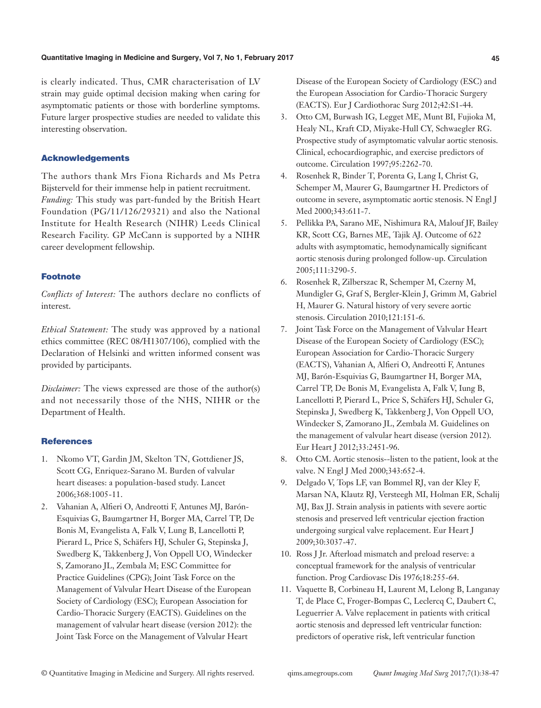is clearly indicated. Thus, CMR characterisation of LV strain may guide optimal decision making when caring for asymptomatic patients or those with borderline symptoms. Future larger prospective studies are needed to validate this interesting observation.

# Acknowledgements

The authors thank Mrs Fiona Richards and Ms Petra Bijsterveld for their immense help in patient recruitment. *Funding:* This study was part-funded by the British Heart Foundation (PG/11/126/29321) and also the National Institute for Health Research (NIHR) Leeds Clinical Research Facility. GP McCann is supported by a NIHR career development fellowship.

# Footnote

*Conflicts of Interest:* The authors declare no conflicts of interest.

*Ethical Statement:* The study was approved by a national ethics committee (REC 08/H1307/106), complied with the Declaration of Helsinki and written informed consent was provided by participants.

*Disclaimer:* The views expressed are those of the author(s) and not necessarily those of the NHS, NIHR or the Department of Health.

## **References**

- 1. Nkomo VT, Gardin JM, Skelton TN, Gottdiener JS, Scott CG, Enriquez-Sarano M. Burden of valvular heart diseases: a population-based study. Lancet 2006;368:1005-11.
- 2. Vahanian A, Alfieri O, Andreotti F, Antunes MJ, Barón-Esquivias G, Baumgartner H, Borger MA, Carrel TP, De Bonis M, Evangelista A, Falk V, Lung B, Lancellotti P, Pierard L, Price S, Schäfers HJ, Schuler G, Stepinska J, Swedberg K, Takkenberg J, Von Oppell UO, Windecker S, Zamorano JL, Zembala M; ESC Committee for Practice Guidelines (CPG); Joint Task Force on the Management of Valvular Heart Disease of the European Society of Cardiology (ESC); European Association for Cardio-Thoracic Surgery (EACTS). Guidelines on the management of valvular heart disease (version 2012): the Joint Task Force on the Management of Valvular Heart

Disease of the European Society of Cardiology (ESC) and the European Association for Cardio-Thoracic Surgery (EACTS). Eur J Cardiothorac Surg 2012;42:S1-44.

- 3. Otto CM, Burwash IG, Legget ME, Munt BI, Fujioka M, Healy NL, Kraft CD, Miyake-Hull CY, Schwaegler RG. Prospective study of asymptomatic valvular aortic stenosis. Clinical, echocardiographic, and exercise predictors of outcome. Circulation 1997;95:2262-70.
- 4. Rosenhek R, Binder T, Porenta G, Lang I, Christ G, Schemper M, Maurer G, Baumgartner H. Predictors of outcome in severe, asymptomatic aortic stenosis. N Engl J Med 2000;343:611-7.
- 5. Pellikka PA, Sarano ME, Nishimura RA, Malouf JF, Bailey KR, Scott CG, Barnes ME, Tajik AJ. Outcome of 622 adults with asymptomatic, hemodynamically significant aortic stenosis during prolonged follow-up. Circulation 2005;111:3290-5.
- 6. Rosenhek R, Zilberszac R, Schemper M, Czerny M, Mundigler G, Graf S, Bergler-Klein J, Grimm M, Gabriel H, Maurer G. Natural history of very severe aortic stenosis. Circulation 2010;121:151-6.
- 7. Joint Task Force on the Management of Valvular Heart Disease of the European Society of Cardiology (ESC); European Association for Cardio-Thoracic Surgery (EACTS), Vahanian A, Alfieri O, Andreotti F, Antunes MJ, Barón-Esquivias G, Baumgartner H, Borger MA, Carrel TP, De Bonis M, Evangelista A, Falk V, Iung B, Lancellotti P, Pierard L, Price S, Schäfers HJ, Schuler G, Stepinska J, Swedberg K, Takkenberg J, Von Oppell UO, Windecker S, Zamorano JL, Zembala M. Guidelines on the management of valvular heart disease (version 2012). Eur Heart J 2012;33:2451-96.
- 8. Otto CM. Aortic stenosis--listen to the patient, look at the valve. N Engl J Med 2000;343:652-4.
- 9. Delgado V, Tops LF, van Bommel RJ, van der Kley F, Marsan NA, Klautz RJ, Versteegh MI, Holman ER, Schalij MJ, Bax JJ. Strain analysis in patients with severe aortic stenosis and preserved left ventricular ejection fraction undergoing surgical valve replacement. Eur Heart J 2009;30:3037-47.
- 10. Ross J Jr. Afterload mismatch and preload reserve: a conceptual framework for the analysis of ventricular function. Prog Cardiovasc Dis 1976;18:255-64.
- 11. Vaquette B, Corbineau H, Laurent M, Lelong B, Langanay T, de Place C, Froger-Bompas C, Leclercq C, Daubert C, Leguerrier A. Valve replacement in patients with critical aortic stenosis and depressed left ventricular function: predictors of operative risk, left ventricular function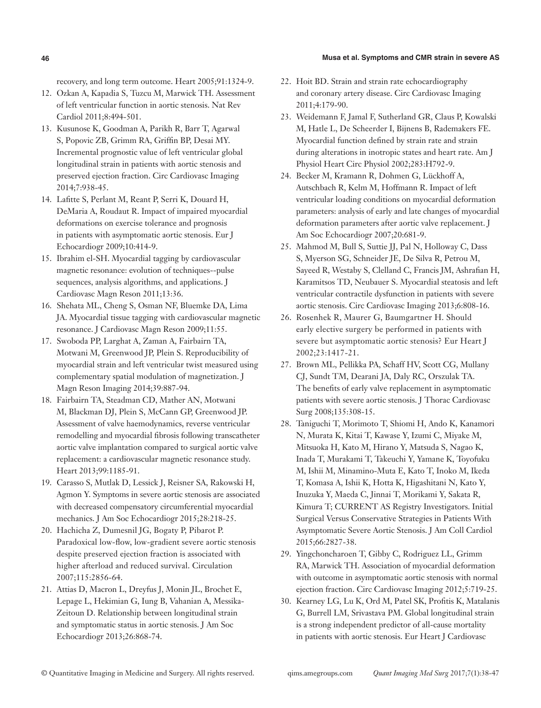## **46 Musa et al. Symptoms and CMR strain in severe AS**

recovery, and long term outcome. Heart 2005;91:1324-9.

- 12. Ozkan A, Kapadia S, Tuzcu M, Marwick TH. Assessment of left ventricular function in aortic stenosis. Nat Rev Cardiol 2011;8:494-501.
- 13. Kusunose K, Goodman A, Parikh R, Barr T, Agarwal S, Popovic ZB, Grimm RA, Griffin BP, Desai MY. Incremental prognostic value of left ventricular global longitudinal strain in patients with aortic stenosis and preserved ejection fraction. Circ Cardiovasc Imaging 2014;7:938-45.
- 14. Lafitte S, Perlant M, Reant P, Serri K, Douard H, DeMaria A, Roudaut R. Impact of impaired myocardial deformations on exercise tolerance and prognosis in patients with asymptomatic aortic stenosis. Eur J Echocardiogr 2009;10:414-9.
- 15. Ibrahim el-SH. Myocardial tagging by cardiovascular magnetic resonance: evolution of techniques--pulse sequences, analysis algorithms, and applications. J Cardiovasc Magn Reson 2011;13:36.
- 16. Shehata ML, Cheng S, Osman NF, Bluemke DA, Lima JA. Myocardial tissue tagging with cardiovascular magnetic resonance. J Cardiovasc Magn Reson 2009;11:55.
- 17. Swoboda PP, Larghat A, Zaman A, Fairbairn TA, Motwani M, Greenwood JP, Plein S. Reproducibility of myocardial strain and left ventricular twist measured using complementary spatial modulation of magnetization. J Magn Reson Imaging 2014;39:887-94.
- 18. Fairbairn TA, Steadman CD, Mather AN, Motwani M, Blackman DJ, Plein S, McCann GP, Greenwood JP. Assessment of valve haemodynamics, reverse ventricular remodelling and myocardial fibrosis following transcatheter aortic valve implantation compared to surgical aortic valve replacement: a cardiovascular magnetic resonance study. Heart 2013;99:1185-91.
- 19. Carasso S, Mutlak D, Lessick J, Reisner SA, Rakowski H, Agmon Y. Symptoms in severe aortic stenosis are associated with decreased compensatory circumferential myocardial mechanics. J Am Soc Echocardiogr 2015;28:218-25.
- 20. Hachicha Z, Dumesnil JG, Bogaty P, Pibarot P. Paradoxical low-flow, low-gradient severe aortic stenosis despite preserved ejection fraction is associated with higher afterload and reduced survival. Circulation 2007;115:2856-64.
- 21. Attias D, Macron L, Dreyfus J, Monin JL, Brochet E, Lepage L, Hekimian G, Iung B, Vahanian A, Messika-Zeitoun D. Relationship between longitudinal strain and symptomatic status in aortic stenosis. J Am Soc Echocardiogr 2013;26:868-74.
- 22. Hoit BD. Strain and strain rate echocardiography and coronary artery disease. Circ Cardiovasc Imaging 2011;4:179-90.
- 23. Weidemann F, Jamal F, Sutherland GR, Claus P, Kowalski M, Hatle L, De Scheerder I, Bijnens B, Rademakers FE. Myocardial function defined by strain rate and strain during alterations in inotropic states and heart rate. Am J Physiol Heart Circ Physiol 2002;283:H792-9.
- 24. Becker M, Kramann R, Dohmen G, Lückhoff A, Autschbach R, Kelm M, Hoffmann R. Impact of left ventricular loading conditions on myocardial deformation parameters: analysis of early and late changes of myocardial deformation parameters after aortic valve replacement. J Am Soc Echocardiogr 2007;20:681-9.
- 25. Mahmod M, Bull S, Suttie JJ, Pal N, Holloway C, Dass S, Myerson SG, Schneider JE, De Silva R, Petrou M, Sayeed R, Westaby S, Clelland C, Francis JM, Ashrafian H, Karamitsos TD, Neubauer S. Myocardial steatosis and left ventricular contractile dysfunction in patients with severe aortic stenosis. Circ Cardiovasc Imaging 2013;6:808-16.
- 26. Rosenhek R, Maurer G, Baumgartner H. Should early elective surgery be performed in patients with severe but asymptomatic aortic stenosis? Eur Heart J 2002;23:1417-21.
- 27. Brown ML, Pellikka PA, Schaff HV, Scott CG, Mullany CJ, Sundt TM, Dearani JA, Daly RC, Orszulak TA. The benefits of early valve replacement in asymptomatic patients with severe aortic stenosis. J Thorac Cardiovasc Surg 2008;135:308-15.
- 28. Taniguchi T, Morimoto T, Shiomi H, Ando K, Kanamori N, Murata K, Kitai T, Kawase Y, Izumi C, Miyake M, Mitsuoka H, Kato M, Hirano Y, Matsuda S, Nagao K, Inada T, Murakami T, Takeuchi Y, Yamane K, Toyofuku M, Ishii M, Minamino-Muta E, Kato T, Inoko M, Ikeda T, Komasa A, Ishii K, Hotta K, Higashitani N, Kato Y, Inuzuka Y, Maeda C, Jinnai T, Morikami Y, Sakata R, Kimura T; CURRENT AS Registry Investigators. Initial Surgical Versus Conservative Strategies in Patients With Asymptomatic Severe Aortic Stenosis. J Am Coll Cardiol 2015;66:2827-38.
- 29. Yingchoncharoen T, Gibby C, Rodriguez LL, Grimm RA, Marwick TH. Association of myocardial deformation with outcome in asymptomatic aortic stenosis with normal ejection fraction. Circ Cardiovasc Imaging 2012;5:719-25.
- 30. Kearney LG, Lu K, Ord M, Patel SK, Profitis K, Matalanis G, Burrell LM, Srivastava PM. Global longitudinal strain is a strong independent predictor of all-cause mortality in patients with aortic stenosis. Eur Heart J Cardiovasc